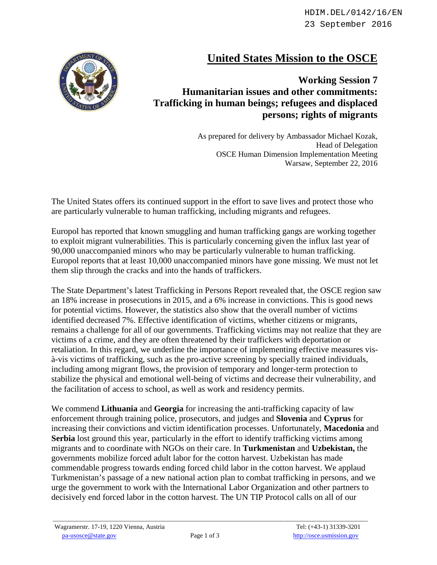## **United States Mission to the OSCE**



**Working Session 7 Humanitarian issues and other commitments: Trafficking in human beings; refugees and displaced persons; rights of migrants**

> As prepared for delivery by Ambassador Michael Kozak, Head of Delegation OSCE Human Dimension Implementation Meeting Warsaw, September 22, 2016

The United States offers its continued support in the effort to save lives and protect those who are particularly vulnerable to human trafficking, including migrants and refugees.

Europol has reported that known smuggling and human trafficking gangs are working together to exploit migrant vulnerabilities. This is particularly concerning given the influx last year of 90,000 unaccompanied minors who may be particularly vulnerable to human trafficking. Europol reports that at least 10,000 unaccompanied minors have gone missing. We must not let them slip through the cracks and into the hands of traffickers.

The State Department's latest Trafficking in Persons Report revealed that, the OSCE region saw an 18% increase in prosecutions in 2015, and a 6% increase in convictions. This is good news for potential victims. However, the statistics also show that the overall number of victims identified decreased 7%. Effective identification of victims, whether citizens or migrants, remains a challenge for all of our governments. Trafficking victims may not realize that they are victims of a crime, and they are often threatened by their traffickers with deportation or retaliation. In this regard, we underline the importance of implementing effective measures visà-vis victims of trafficking, such as the pro-active screening by specially trained individuals, including among migrant flows, the provision of temporary and longer-term protection to stabilize the physical and emotional well-being of victims and decrease their vulnerability, and the facilitation of access to school, as well as work and residency permits.

We commend **Lithuania** and **Georgia** for increasing the anti-trafficking capacity of law enforcement through training police, prosecutors, and judges and **Slovenia** and **Cyprus** for increasing their convictions and victim identification processes. Unfortunately, **Macedonia** and **Serbia** lost ground this year, particularly in the effort to identify trafficking victims among migrants and to coordinate with NGOs on their care. In **Turkmenistan** and **Uzbekistan,** the governments mobilize forced adult labor for the cotton harvest. Uzbekistan has made commendable progress towards ending forced child labor in the cotton harvest. We applaud Turkmenistan's passage of a new national action plan to combat trafficking in persons, and we urge the government to work with the International Labor Organization and other partners to decisively end forced labor in the cotton harvest. The UN TIP Protocol calls on all of our

 $\_$  ,  $\_$  ,  $\_$  ,  $\_$  ,  $\_$  ,  $\_$  ,  $\_$  ,  $\_$  ,  $\_$  ,  $\_$  ,  $\_$  ,  $\_$  ,  $\_$  ,  $\_$  ,  $\_$  ,  $\_$  ,  $\_$  ,  $\_$  ,  $\_$  ,  $\_$  ,  $\_$  ,  $\_$  ,  $\_$  ,  $\_$  ,  $\_$  ,  $\_$  ,  $\_$  ,  $\_$  ,  $\_$  ,  $\_$  ,  $\_$  ,  $\_$  ,  $\_$  ,  $\_$  ,  $\_$  ,  $\_$  ,  $\_$  ,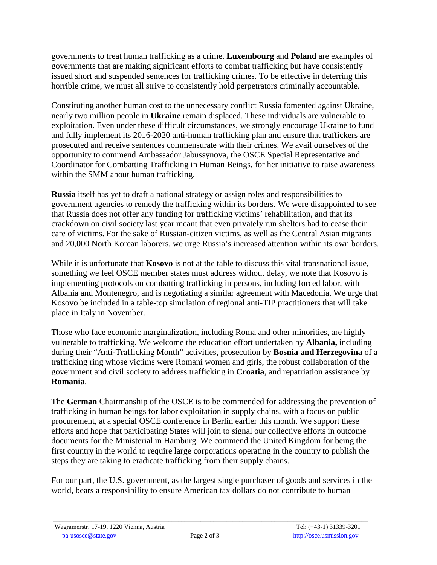governments to treat human trafficking as a crime. **Luxembourg** and **Poland** are examples of governments that are making significant efforts to combat trafficking but have consistently issued short and suspended sentences for trafficking crimes. To be effective in deterring this horrible crime, we must all strive to consistently hold perpetrators criminally accountable.

Constituting another human cost to the unnecessary conflict Russia fomented against Ukraine, nearly two million people in **Ukraine** remain displaced. These individuals are vulnerable to exploitation. Even under these difficult circumstances, we strongly encourage Ukraine to fund and fully implement its 2016-2020 anti-human trafficking plan and ensure that traffickers are prosecuted and receive sentences commensurate with their crimes. We avail ourselves of the opportunity to commend Ambassador Jabussynova, the OSCE Special Representative and Coordinator for Combatting Trafficking in Human Beings, for her initiative to raise awareness within the SMM about human trafficking.

**Russia** itself has yet to draft a national strategy or assign roles and responsibilities to government agencies to remedy the trafficking within its borders. We were disappointed to see that Russia does not offer any funding for trafficking victims' rehabilitation, and that its crackdown on civil society last year meant that even privately run shelters had to cease their care of victims. For the sake of Russian-citizen victims, as well as the Central Asian migrants and 20,000 North Korean laborers, we urge Russia's increased attention within its own borders.

While it is unfortunate that **Kosovo** is not at the table to discuss this vital transnational issue, something we feel OSCE member states must address without delay, we note that Kosovo is implementing protocols on combatting trafficking in persons, including forced labor, with Albania and Montenegro, and is negotiating a similar agreement with Macedonia. We urge that Kosovo be included in a table-top simulation of regional anti-TIP practitioners that will take place in Italy in November.

Those who face economic marginalization, including Roma and other minorities, are highly vulnerable to trafficking. We welcome the education effort undertaken by **Albania,** including during their "Anti-Trafficking Month" activities, prosecution by **Bosnia and Herzegovina** of a trafficking ring whose victims were Romani women and girls, the robust collaboration of the government and civil society to address trafficking in **Croatia**, and repatriation assistance by **Romania**.

The **German** Chairmanship of the OSCE is to be commended for addressing the prevention of trafficking in human beings for labor exploitation in supply chains, with a focus on public procurement, at a special OSCE conference in Berlin earlier this month. We support these efforts and hope that participating States will join to signal our collective efforts in outcome documents for the Ministerial in Hamburg. We commend the United Kingdom for being the first country in the world to require large corporations operating in the country to publish the steps they are taking to eradicate trafficking from their supply chains.

For our part, the U.S. government, as the largest single purchaser of goods and services in the world, bears a responsibility to ensure American tax dollars do not contribute to human

 $\_$  ,  $\_$  ,  $\_$  ,  $\_$  ,  $\_$  ,  $\_$  ,  $\_$  ,  $\_$  ,  $\_$  ,  $\_$  ,  $\_$  ,  $\_$  ,  $\_$  ,  $\_$  ,  $\_$  ,  $\_$  ,  $\_$  ,  $\_$  ,  $\_$  ,  $\_$  ,  $\_$  ,  $\_$  ,  $\_$  ,  $\_$  ,  $\_$  ,  $\_$  ,  $\_$  ,  $\_$  ,  $\_$  ,  $\_$  ,  $\_$  ,  $\_$  ,  $\_$  ,  $\_$  ,  $\_$  ,  $\_$  ,  $\_$  ,